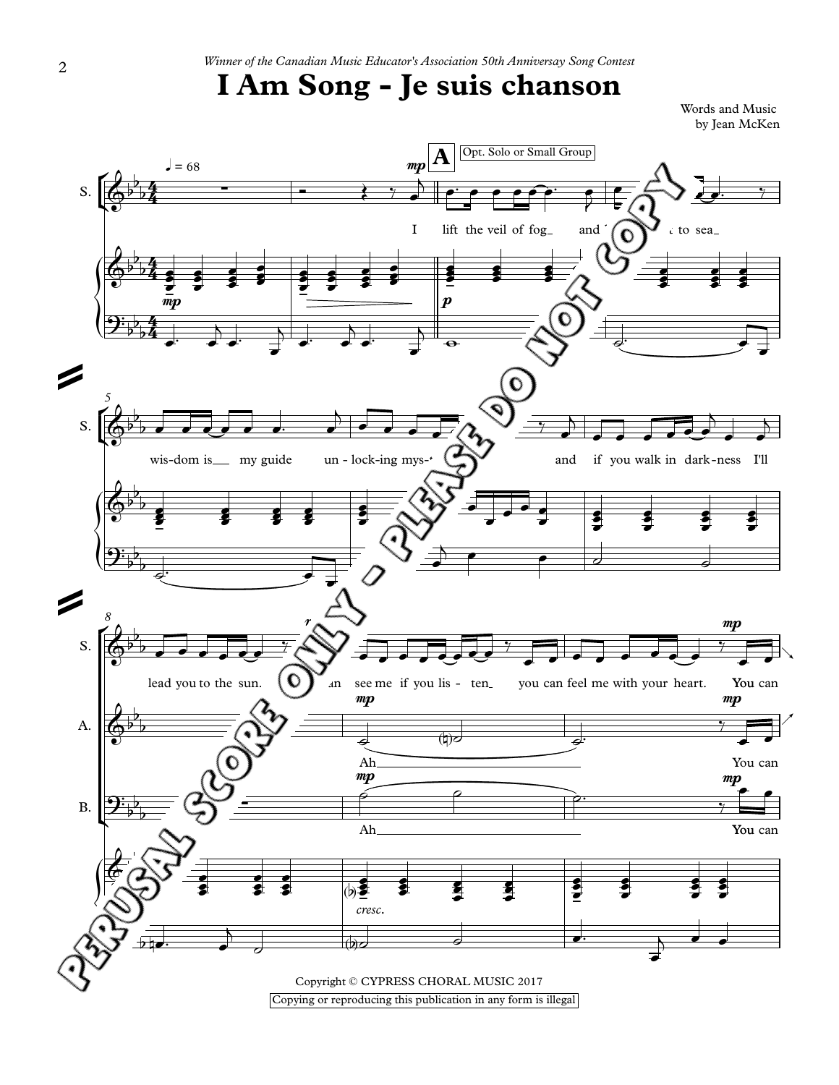## **I Am Song - Je suis chanson**

Words and Music by Jean McKen

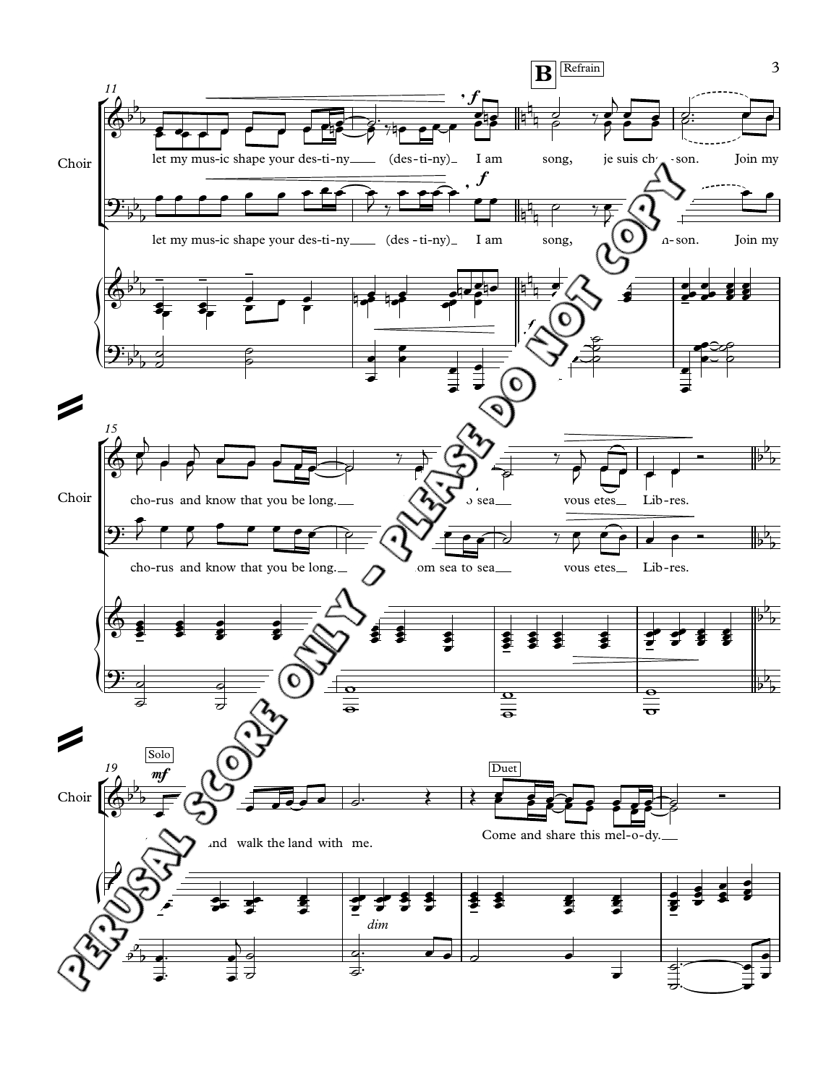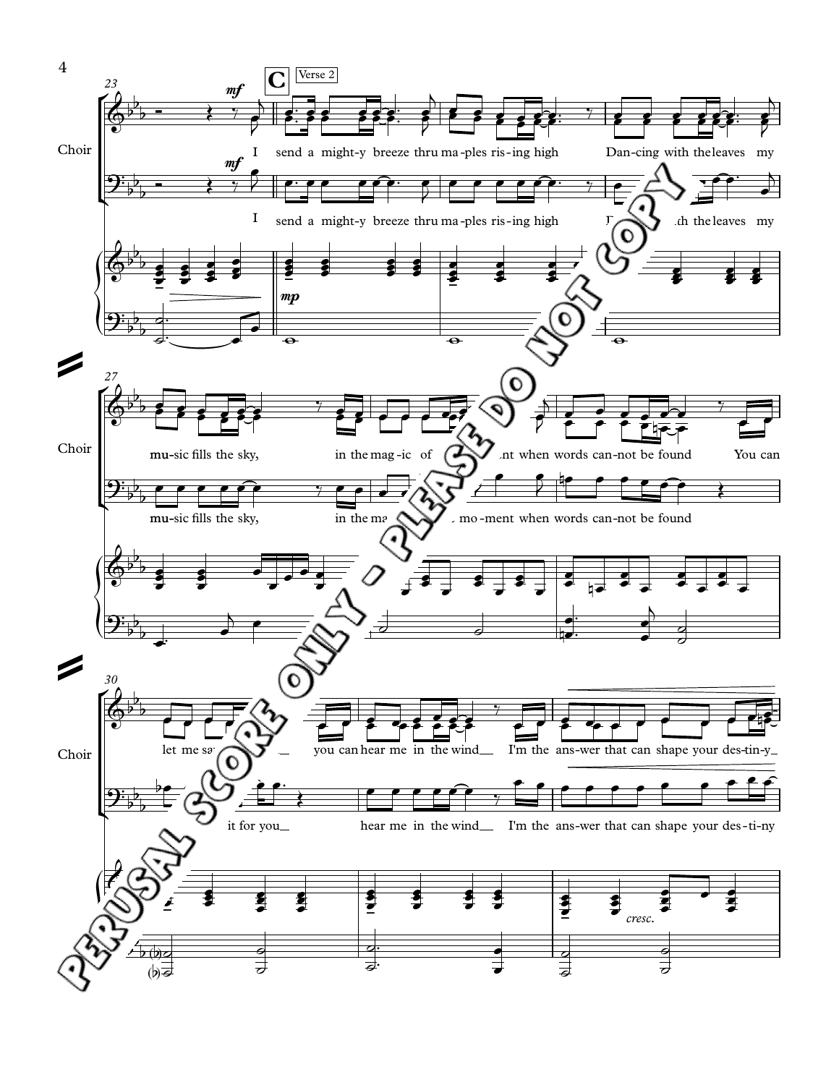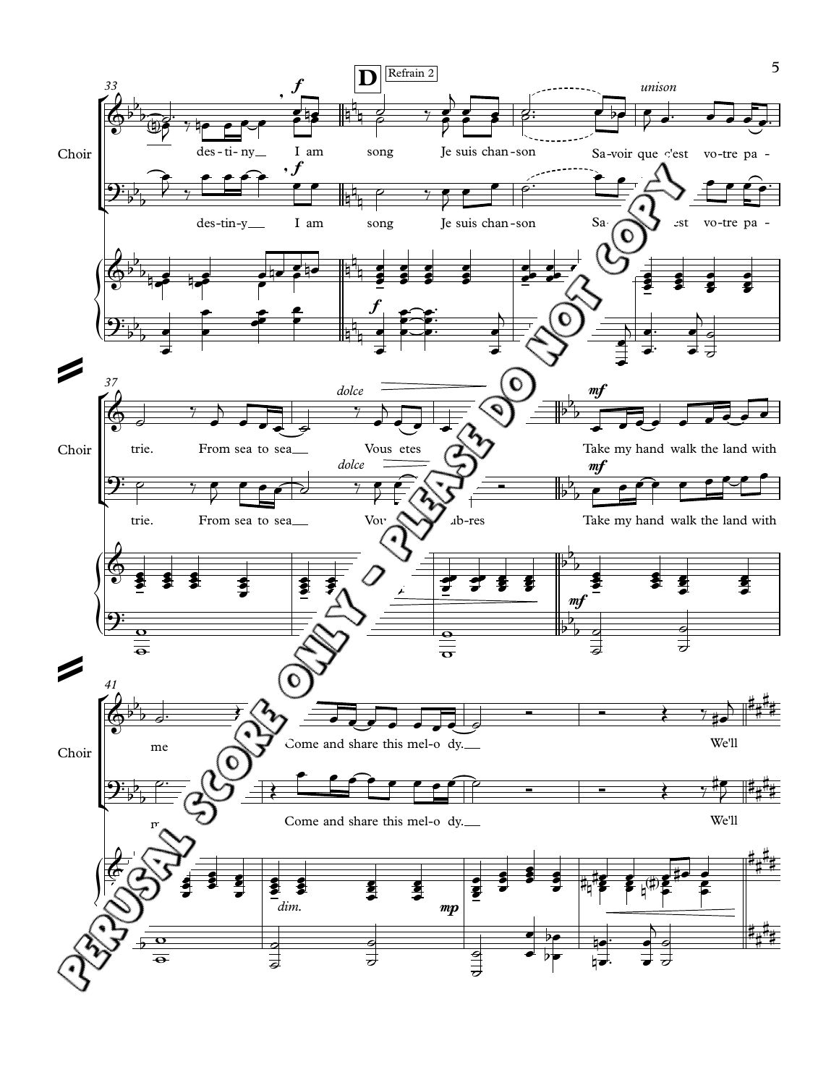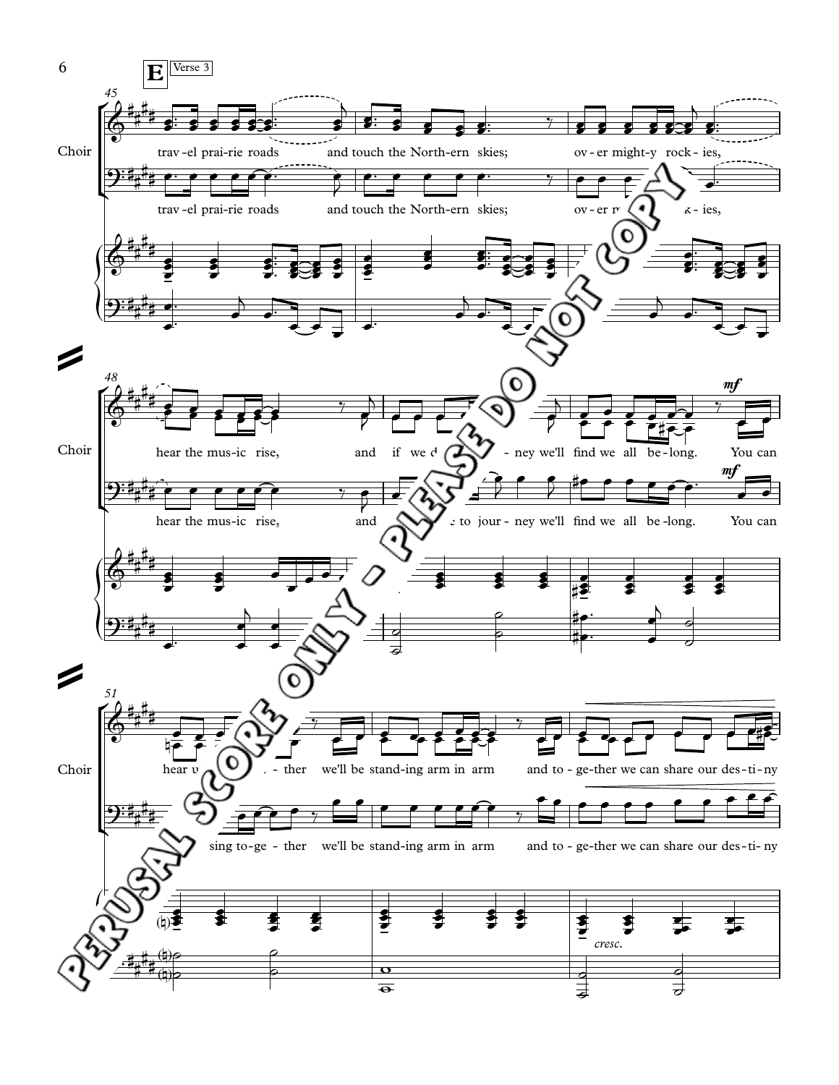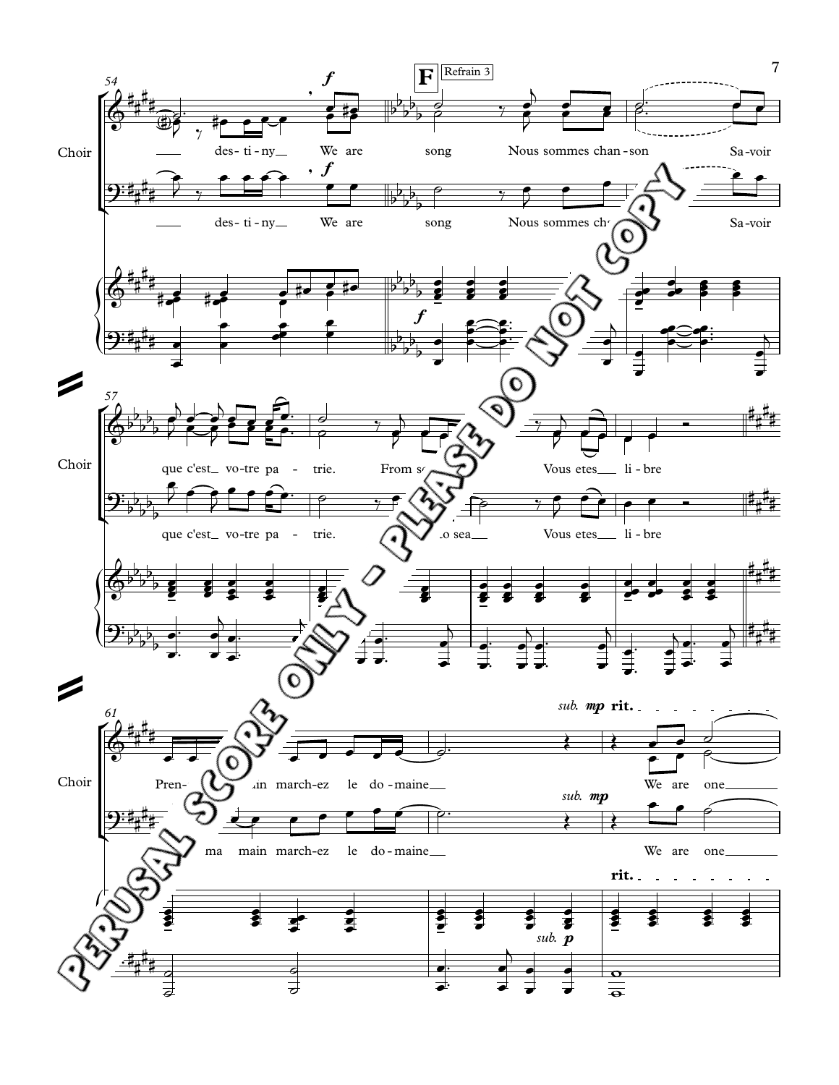